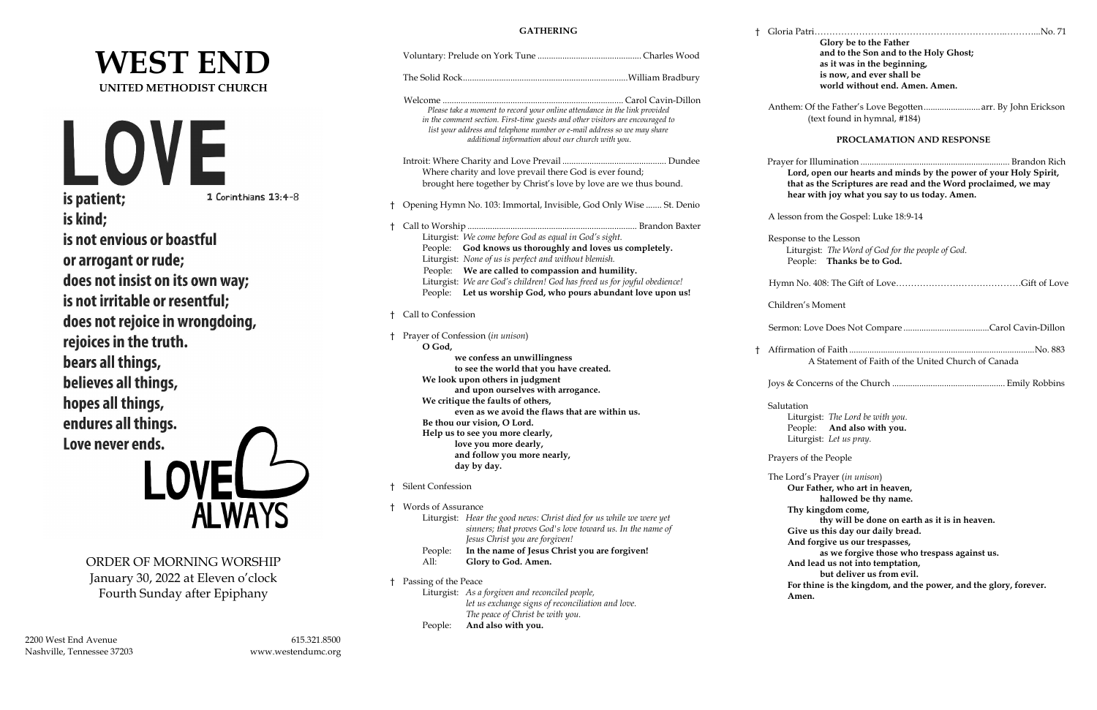# **WEST END UNITED METHODIST CHURCH**



1 Corinthians 13:4-8

is kind; is not envious or boastful or arrogant or rude; does not insist on its own way; is not irritable or resentful; does not rejoice in wrongdoing, rejoices in the truth. bears all things, believes all things, hopes all things, endures all things. Love never ends.

ORDER OF MORNING WORSHIP January 30, 2022 at Eleven o'clock Fourth Sunday after Epiphany

# **GATHERING**

† Gloria Patri………………………………………………………..………...No. 71 **Glory be to the Father and to the Son and to the Holy Ghost; as it was in the beginning, is now, and ever shall be world without end. Amen. Amen.** Of the Father's Love Begotten.............................. arr. By John Erickson (text found in hymnal, #184) **PROCLAMATION AND RESPONSE** Prayer for Illumination .................................................................. Brandon Rich **Lord, open our hearts and minds by the power of your Holy Spirit,**  as the Scriptures are read and the Word proclaimed, we may with joy what you say to us today. Amen. from the Gospel: Luke 18:9-14 to the Lesson rgist: The Word of God for the people of God. ple: **Thanks be to God. b.** 408: The Gift of Love………………………………………Gift of Love 's Moment Sermon: Love Does Not Compare ......................................Carol Cavin-Dillon † Affirmation of Faith ..................................................................................No. 883 A Statement of Faith of the United Church of Canada Joys & Concerns of the Church .................................................. Emily Robbins n. rgist: *The Lord be with you.* ple: **And also with you.** rgist: Let us pray. of the People l's Prayer (*in unison*) **Our Father, who art in heaven, hallowed be thy name. Thy kingdom come, thy will be done on earth as it is in heaven. Give us this day our daily bread. And forgive us our trespasses, as we forgive those who trespass against us. Allead us not into temptation, but deliver us from evil. For thine is the kingdom, and the power, and the glory, forever.**  en.

|    |                                                                                                                                                                                                                                                                                                                                                                                  | Please take a moment to record your online attendance in the link provided<br>in the comment section. First-time guests and other visitors are encouraged to<br>list your address and telephone number or e-mail address so we may share<br>additional information about our church with you. |                                                                                                                                          |   | Anthem:                                                     |
|----|----------------------------------------------------------------------------------------------------------------------------------------------------------------------------------------------------------------------------------------------------------------------------------------------------------------------------------------------------------------------------------|-----------------------------------------------------------------------------------------------------------------------------------------------------------------------------------------------------------------------------------------------------------------------------------------------|------------------------------------------------------------------------------------------------------------------------------------------|---|-------------------------------------------------------------|
|    |                                                                                                                                                                                                                                                                                                                                                                                  | Where charity and love prevail there God is ever found;                                                                                                                                                                                                                                       | brought here together by Christ's love by love are we thus bound.                                                                        |   | Prayer fo<br>Loro<br>that<br>hear                           |
| t. |                                                                                                                                                                                                                                                                                                                                                                                  | Opening Hymn No. 103: Immortal, Invisible, God Only Wise  St. Denio                                                                                                                                                                                                                           |                                                                                                                                          |   |                                                             |
| Ť. |                                                                                                                                                                                                                                                                                                                                                                                  |                                                                                                                                                                                                                                                                                               |                                                                                                                                          |   | A lesson                                                    |
|    |                                                                                                                                                                                                                                                                                                                                                                                  | Liturgist: We come before God as equal in God's sight.<br>People: God knows us thoroughly and loves us completely.<br>Liturgist: None of us is perfect and without blemish.<br>People: We are called to compassion and humility.                                                              | Liturgist: We are God's children! God has freed us for joyful obedience!<br>People: Let us worship God, who pours abundant love upon us! |   | Response<br>Litui<br>Peop<br>Hymn N                         |
|    |                                                                                                                                                                                                                                                                                                                                                                                  |                                                                                                                                                                                                                                                                                               |                                                                                                                                          |   | Children                                                    |
| t. | Call to Confession                                                                                                                                                                                                                                                                                                                                                               |                                                                                                                                                                                                                                                                                               |                                                                                                                                          |   |                                                             |
| Ť. | O God,                                                                                                                                                                                                                                                                                                                                                                           | Prayer of Confession (in unison)                                                                                                                                                                                                                                                              |                                                                                                                                          |   | Sermon:<br>Affirmati                                        |
|    | we confess an unwillingness<br>to see the world that you have created.<br>We look upon others in judgment<br>and upon ourselves with arrogance.<br>We critique the faults of others,<br>even as we avoid the flaws that are within us.<br>Be thou our vision, O Lord.<br>Help us to see you more clearly,<br>love you more dearly,<br>and follow you more nearly,<br>day by day. |                                                                                                                                                                                                                                                                                               |                                                                                                                                          | t | Joys & Co<br>Salutatio<br>Litu<br>Peop<br>Litu<br>Prayers c |
| t. | <b>Silent Confession</b>                                                                                                                                                                                                                                                                                                                                                         |                                                                                                                                                                                                                                                                                               |                                                                                                                                          |   | The Lord<br>Our                                             |
| t. | Words of Assurance                                                                                                                                                                                                                                                                                                                                                               |                                                                                                                                                                                                                                                                                               |                                                                                                                                          |   |                                                             |
|    | People:<br>All:                                                                                                                                                                                                                                                                                                                                                                  | Liturgist: Hear the good news: Christ died for us while we were yet<br>sinners; that proves God's love toward us. In the name of<br>Jesus Christ you are forgiven!<br>In the name of Jesus Christ you are forgiven!<br>Glory to God. Amen.                                                    |                                                                                                                                          |   | Thy<br>Giv<br>And<br>And                                    |
|    | Passing of the Peace                                                                                                                                                                                                                                                                                                                                                             |                                                                                                                                                                                                                                                                                               |                                                                                                                                          |   | For                                                         |
|    | People:                                                                                                                                                                                                                                                                                                                                                                          | Liturgist: As a forgiven and reconciled people,<br>let us exchange signs of reconciliation and love.<br>The peace of Christ be with you.<br>And also with you.                                                                                                                                |                                                                                                                                          |   | Am                                                          |
|    |                                                                                                                                                                                                                                                                                                                                                                                  |                                                                                                                                                                                                                                                                                               |                                                                                                                                          |   |                                                             |